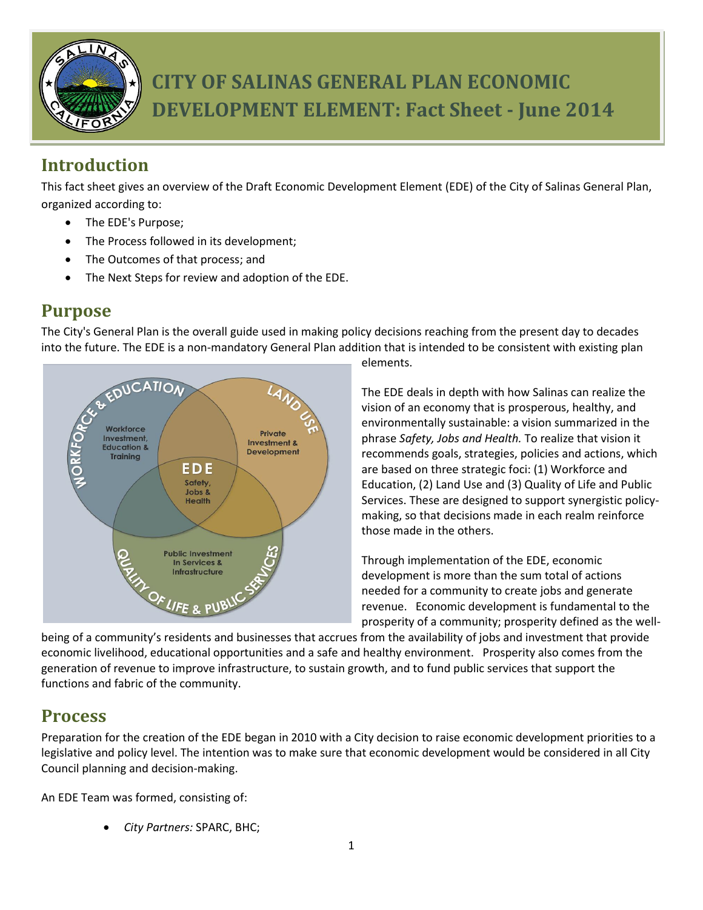

# **CITY OF SALINAS GENERAL PLAN ECONOMIC DEVELOPMENT ELEMENT: Fact Sheet - June 2014**

## **Introduction**

This fact sheet gives an overview of the Draft Economic Development Element (EDE) of the City of Salinas General Plan, organized according to:

- The EDE's Purpose;
- The Process followed in its development;
- The Outcomes of that process; and
- The Next Steps for review and adoption of the EDE.

#### **Purpose**

The City's General Plan is the overall guide used in making policy decisions reaching from the present day to decades into the future. The EDE is a non-mandatory General Plan addition that is intended to be consistent with existing plan



elements.

The EDE deals in depth with how Salinas can realize the vision of an economy that is prosperous, healthy, and environmentally sustainable: a vision summarized in the phrase *Safety, Jobs and Health.* To realize that vision it recommends goals, strategies, policies and actions, which are based on three strategic foci: (1) Workforce and Education, (2) Land Use and (3) Quality of Life and Public Services. These are designed to support synergistic policymaking, so that decisions made in each realm reinforce those made in the others.

Through implementation of the EDE, economic development is more than the sum total of actions needed for a community to create jobs and generate revenue. Economic development is fundamental to the prosperity of a community; prosperity defined as the well-

being of a community's residents and businesses that accrues from the availability of jobs and investment that provide economic livelihood, educational opportunities and a safe and healthy environment. Prosperity also comes from the generation of revenue to improve infrastructure, to sustain growth, and to fund public services that support the functions and fabric of the community.

#### **Process**

Preparation for the creation of the EDE began in 2010 with a City decision to raise economic development priorities to a legislative and policy level. The intention was to make sure that economic development would be considered in all City Council planning and decision-making.

An EDE Team was formed, consisting of:

*City Partners:* SPARC, BHC;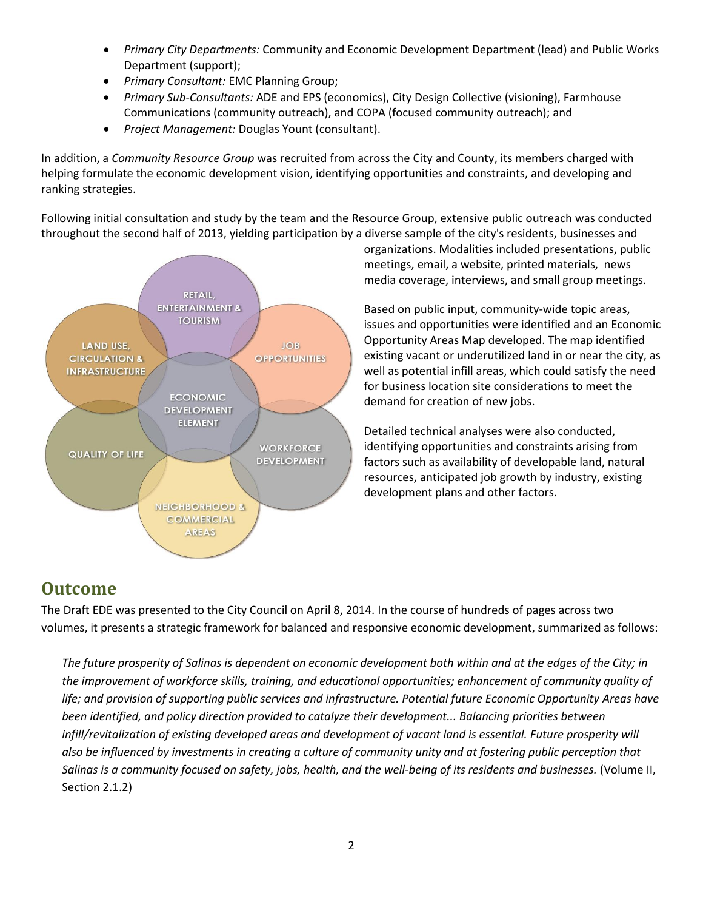- *Primary City Departments:* Community and Economic Development Department (lead) and Public Works Department (support);
- *Primary Consultant:* EMC Planning Group;
- *Primary Sub-Consultants:* ADE and EPS (economics), City Design Collective (visioning), Farmhouse Communications (community outreach), and COPA (focused community outreach); and
- *Project Management:* Douglas Yount (consultant).

In addition, a *Community Resource Group* was recruited from across the City and County, its members charged with helping formulate the economic development vision, identifying opportunities and constraints, and developing and ranking strategies.

Following initial consultation and study by the team and the Resource Group, extensive public outreach was conducted throughout the second half of 2013, yielding participation by a diverse sample of the city's residents, businesses and



organizations. Modalities included presentations, public meetings, email, a website, printed materials, news media coverage, interviews, and small group meetings.

Based on public input, community-wide topic areas, issues and opportunities were identified and an Economic Opportunity Areas Map developed. The map identified existing vacant or underutilized land in or near the city, as well as potential infill areas, which could satisfy the need for business location site considerations to meet the demand for creation of new jobs.

Detailed technical analyses were also conducted, identifying opportunities and constraints arising from factors such as availability of developable land, natural resources, anticipated job growth by industry, existing development plans and other factors.

### **Outcome**

The Draft EDE was presented to the City Council on April 8, 2014. In the course of hundreds of pages across two volumes, it presents a strategic framework for balanced and responsive economic development, summarized as follows:

*The future prosperity of Salinas is dependent on economic development both within and at the edges of the City; in the improvement of workforce skills, training, and educational opportunities; enhancement of community quality of life; and provision of supporting public services and infrastructure. Potential future Economic Opportunity Areas have been identified, and policy direction provided to catalyze their development... Balancing priorities between infill/revitalization of existing developed areas and development of vacant land is essential. Future prosperity will also be influenced by investments in creating a culture of community unity and at fostering public perception that Salinas is a community focused on safety, jobs, health, and the well-being of its residents and businesses.* (Volume II, Section 2.1.2)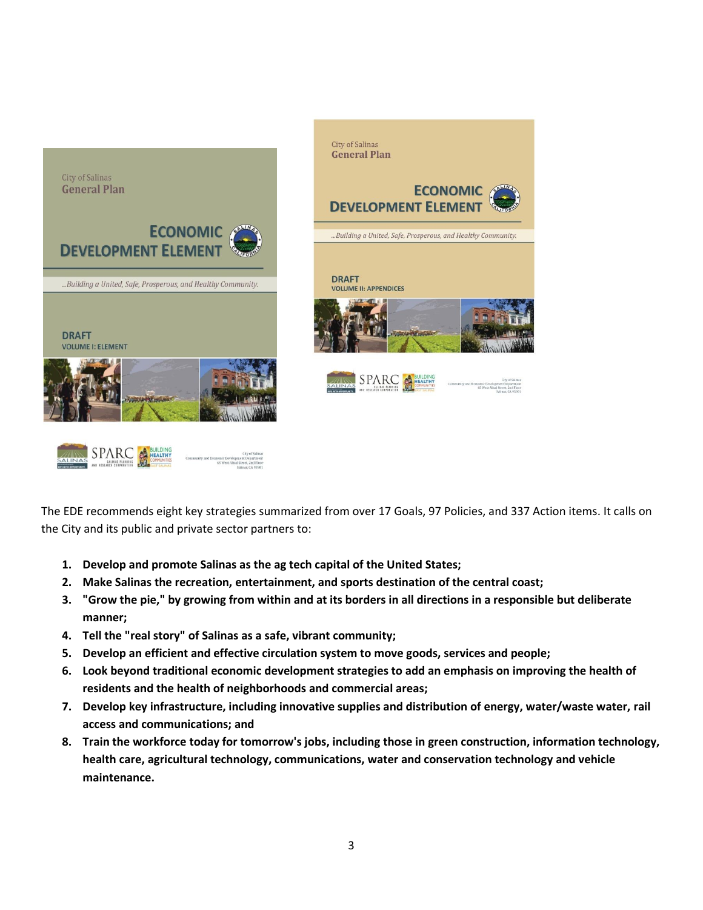



The EDE recommends eight key strategies summarized from over 17 Goals, 97 Policies, and 337 Action items. It calls on the City and its public and private sector partners to:

- **1. Develop and promote Salinas as the ag tech capital of the United States;**
- **2. Make Salinas the recreation, entertainment, and sports destination of the central coast;**
- **3. "Grow the pie," by growing from within and at its borders in all directions in a responsible but deliberate manner;**
- **4. Tell the "real story" of Salinas as a safe, vibrant community;**
- **5. Develop an efficient and effective circulation system to move goods, services and people;**
- **6. Look beyond traditional economic development strategies to add an emphasis on improving the health of residents and the health of neighborhoods and commercial areas;**
- **7. Develop key infrastructure, including innovative supplies and distribution of energy, water/waste water, rail access and communications; and**
- **8. Train the workforce today for tomorrow's jobs, including those in green construction, information technology, health care, agricultural technology, communications, water and conservation technology and vehicle maintenance.**